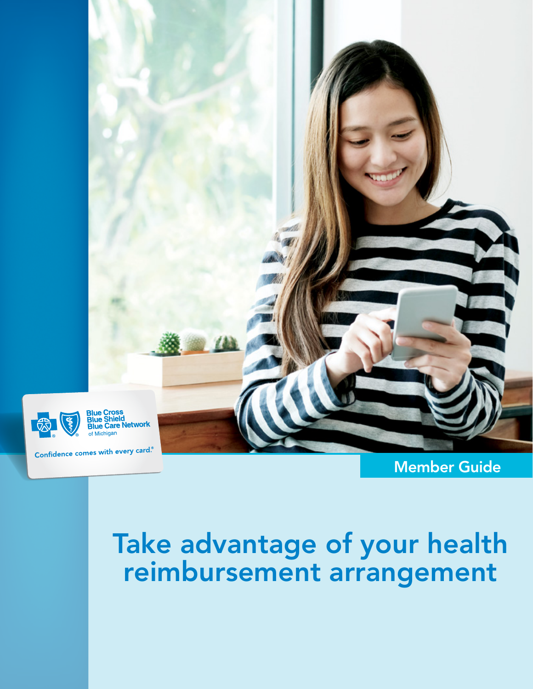

Member Guide

Take advantage of your health reimbursement arrangement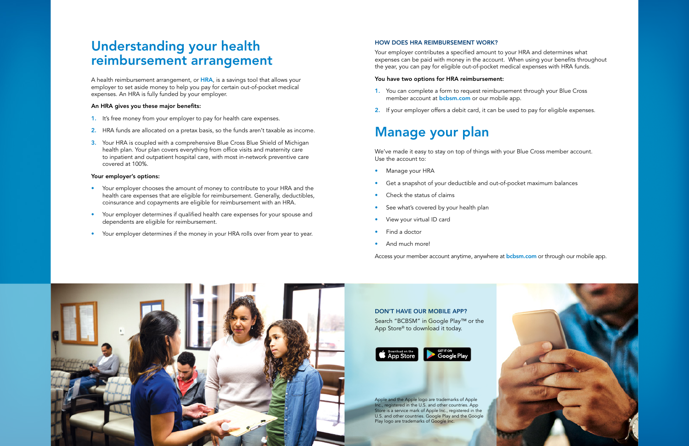# Understanding your health reimbursement arrangement

A health reimbursement arrangement, or HRA, is a savings tool that allows your employer to set aside money to help you pay for certain out-of-pocket medical expenses. An HRA is fully funded by your employer.

### An HRA gives you these major benefits:

- 1. It's free money from your employer to pay for health care expenses.
- 2. HRA funds are allocated on a pretax basis, so the funds aren't taxable as income.
- 3. Your HRA is coupled with a comprehensive Blue Cross Blue Shield of Michigan health plan. Your plan covers everything from office visits and maternity care to inpatient and outpatient hospital care, with most in-network preventive care covered at 100%.

### Your employer's options:

- 1. You can complete a form to request reimbursement through your Blue Cross member account at **bcbsm.com** or our mobile app.
- 2. If your employer offers a debit card, it can be used to pay for eligible expenses.

- Your employer chooses the amount of money to contribute to your HRA and the health care expenses that are eligible for reimbursement. Generally, deductibles, coinsurance and copayments are eligible for reimbursement with an HRA.
- Your employer determines if qualified health care expenses for your spouse and dependents are eligible for reimbursement.
- Your employer determines if the money in your HRA rolls over from year to year.

### HOW DOES HRA REIMBURSEMENT WORK?

Your employer contributes a specified amount to your HRA and determines what expenses can be paid with money in the account. When using your benefits throughout the year, you can pay for eligible out-of-pocket medical expenses with HRA funds.

## You have two options for HRA reimbursement:

# Manage your plan

We've made it easy to stay on top of things with your Blue Cross member account. Use the account to:

- Manage your HRA
- Get a snapshot of your deductible and out-of-pocket maximum balances
- Check the status of claims
- See what's covered by your health plan
- View your virtual ID card
- Find a doctor
- And much more!

Access your member account anytime, anywhere at **bcbsm.com** or through our mobile app.



#### DON'T HAVE OUR MOBILE APP?

Search "BCBSM" in Google Play™ or the App Store<sup>®</sup> to download it today.



Apple and the Apple logo are trademarks of Apple Inc., registered in the U.S. and other countries. App Store is a service mark of Apple Inc., registered in the U.S. and other countries. Google Play and the Google Play logo are trademarks of Google Inc.